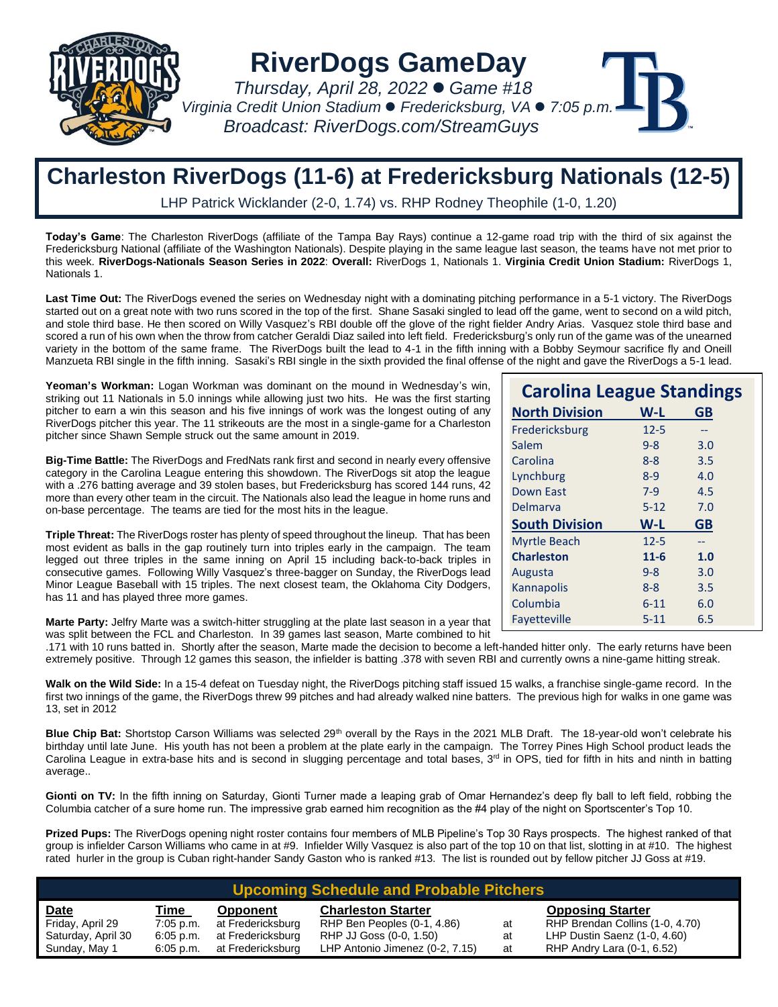

**RiverDogs GameDay**

 *Thursday, April 28, 2022* ⚫ *Game #18 Virginia Credit Union Stadium* ⚫ *Fredericksburg, VA* ⚫ *7:05 p.m. Broadcast: RiverDogs.com/StreamGuys*

## **Charleston RiverDogs (11-6) at Fredericksburg Nationals (12-5)**

LHP Patrick Wicklander (2-0, 1.74) vs. RHP Rodney Theophile (1-0, 1.20)

**Today's Game**: The Charleston RiverDogs (affiliate of the Tampa Bay Rays) continue a 12-game road trip with the third of six against the Fredericksburg National (affiliate of the Washington Nationals). Despite playing in the same league last season, the teams have not met prior to this week. **RiverDogs-Nationals Season Series in 2022**: **Overall:** RiverDogs 1, Nationals 1. **Virginia Credit Union Stadium:** RiverDogs 1, Nationals 1.

Last Time Out: The RiverDogs evened the series on Wednesday night with a dominating pitching performance in a 5-1 victory. The RiverDogs started out on a great note with two runs scored in the top of the first. Shane Sasaki singled to lead off the game, went to second on a wild pitch, and stole third base. He then scored on Willy Vasquez's RBI double off the glove of the right fielder Andry Arias. Vasquez stole third base and scored a run of his own when the throw from catcher Geraldi Diaz sailed into left field. Fredericksburg's only run of the game was of the unearned variety in the bottom of the same frame. The RiverDogs built the lead to 4-1 in the fifth inning with a Bobby Seymour sacrifice fly and Oneill Manzueta RBI single in the fifth inning. Sasaki's RBI single in the sixth provided the final offense of the night and gave the RiverDogs a 5-1 lead.

**Yeoman's Workman:** Logan Workman was dominant on the mound in Wednesday's win, striking out 11 Nationals in 5.0 innings while allowing just two hits. He was the first starting pitcher to earn a win this season and his five innings of work was the longest outing of any RiverDogs pitcher this year. The 11 strikeouts are the most in a single-game for a Charleston pitcher since Shawn Semple struck out the same amount in 2019.

**Big-Time Battle:** The RiverDogs and FredNats rank first and second in nearly every offensive category in the Carolina League entering this showdown. The RiverDogs sit atop the league with a .276 batting average and 39 stolen bases, but Fredericksburg has scored 144 runs, 42 more than every other team in the circuit. The Nationals also lead the league in home runs and on-base percentage. The teams are tied for the most hits in the league.

**Triple Threat:** The RiverDogs roster has plenty of speed throughout the lineup. That has been most evident as balls in the gap routinely turn into triples early in the campaign. The team legged out three triples in the same inning on April 15 including back-to-back triples in consecutive games. Following Willy Vasquez's three-bagger on Sunday, the RiverDogs lead Minor League Baseball with 15 triples. The next closest team, the Oklahoma City Dodgers, has 11 and has played three more games.

**Marte Party:** Jelfry Marte was a switch-hitter struggling at the plate last season in a year that was split between the FCL and Charleston. In 39 games last season, Marte combined to hit

.171 with 10 runs batted in. Shortly after the season, Marte made the decision to become a left-handed hitter only. The early returns have been extremely positive. Through 12 games this season, the infielder is batting .378 with seven RBI and currently owns a nine-game hitting streak.

**Walk on the Wild Side:** In a 15-4 defeat on Tuesday night, the RiverDogs pitching staff issued 15 walks, a franchise single-game record. In the first two innings of the game, the RiverDogs threw 99 pitches and had already walked nine batters. The previous high for walks in one game was 13, set in 2012

Blue Chip Bat: Shortstop Carson Williams was selected 29<sup>th</sup> overall by the Rays in the 2021 MLB Draft. The 18-year-old won't celebrate his birthday until late June. His youth has not been a problem at the plate early in the campaign. The Torrey Pines High School product leads the Carolina League in extra-base hits and is second in slugging percentage and total bases, 3<sup>rd</sup> in OPS, tied for fifth in hits and ninth in batting average..

Gionti on TV: In the fifth inning on Saturday, Gionti Turner made a leaping grab of Omar Hernandez's deep fly ball to left field, robbing the Columbia catcher of a sure home run. The impressive grab earned him recognition as the #4 play of the night on Sportscenter's Top 10.

**Prized Pups:** The RiverDogs opening night roster contains four members of MLB Pipeline's Top 30 Rays prospects. The highest ranked of that group is infielder Carson Williams who came in at #9. Infielder Willy Vasquez is also part of the top 10 on that list, slotting in at #10. The highest rated hurler in the group is Cuban right-hander Sandy Gaston who is ranked #13. The list is rounded out by fellow pitcher JJ Goss at #19.

| <b>Upcoming Schedule and Probable Pitchers</b> |             |                   |                                 |    |                                 |  |  |  |  |  |
|------------------------------------------------|-------------|-------------------|---------------------------------|----|---------------------------------|--|--|--|--|--|
| <u>Date</u>                                    | Time        | Opponent          | <b>Charleston Starter</b>       |    | <b>Opposing Starter</b>         |  |  |  |  |  |
| Friday, April 29                               | $7:05$ p.m. | at Fredericksburg | RHP Ben Peoples (0-1, 4.86)     | at | RHP Brendan Collins (1-0, 4.70) |  |  |  |  |  |
| Saturday, April 30                             | $6:05$ p.m. | at Fredericksburg | RHP JJ Goss (0-0, 1.50)         | at | LHP Dustin Saenz (1-0, 4.60)    |  |  |  |  |  |
| Sunday, May 1                                  | $6:05$ p.m. | at Fredericksburg | LHP Antonio Jimenez (0-2, 7.15) | at | RHP Andry Lara (0-1, 6.52)      |  |  |  |  |  |

|          | <b>Carolina League Standings</b> |
|----------|----------------------------------|
| W-L      | <b>GB</b>                        |
| $12 - 5$ | --                               |
| $9 - 8$  | 3.0                              |
| $8 - 8$  | 3.5                              |
| $8-9$    | 4.0                              |
| $7-9$    | 4.5                              |
| $5 - 12$ | 7.0                              |
| W-L      | <b>GB</b>                        |
| $12 - 5$ |                                  |
| $11 - 6$ | 1.0                              |
| $9 - 8$  | 3.0                              |
| $8 - 8$  | 3.5                              |
| $6 - 11$ | 6.0                              |
| $5 - 11$ | 6.5                              |
|          |                                  |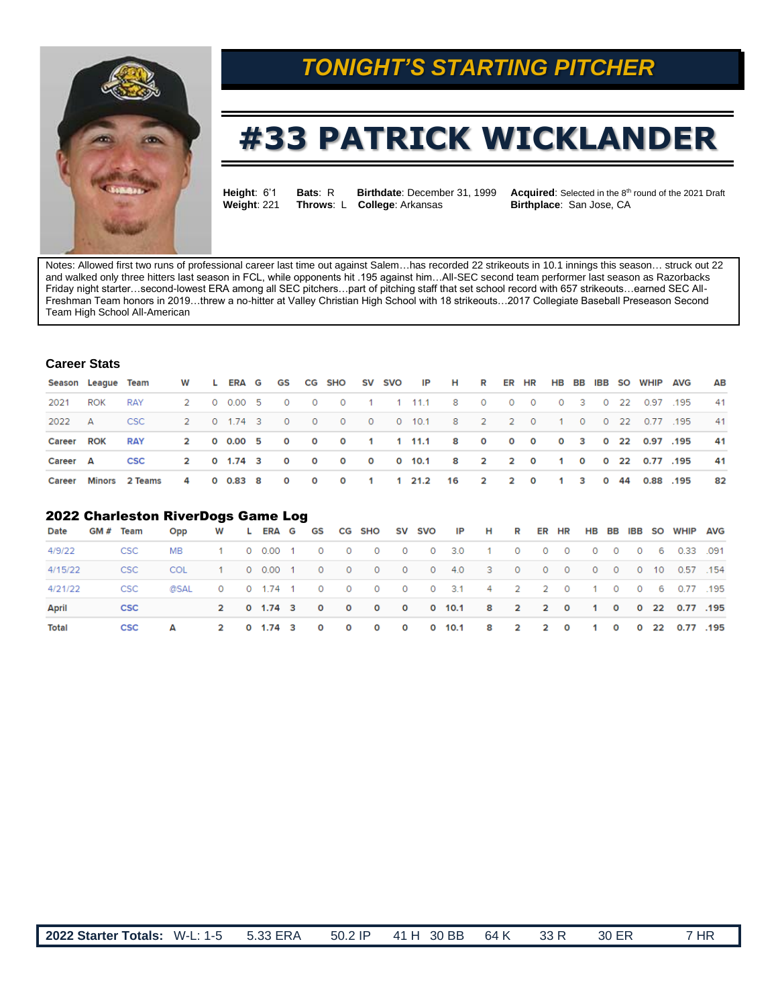

## *TONIGHT'S STARTING PITCHER*

# **#33 PATRICK WICKLANDER**

**Height:** 6'1 **Bats: R Birthdate: December 31, 1999 Acquired: Selected in the 8<sup>th</sup> round of the 2021 Draft <b>Weight: 221 Throws: L College:** Arkansas **Birthplace:** San Jose, CA **Throws: L College: Arkansas** 

Notes: Allowed first two runs of professional career last time out against Salem…has recorded 22 strikeouts in 10.1 innings this season… struck out 22 and walked only three hitters last season in FCL, while opponents hit .195 against him…All-SEC second team performer last season as Razorbacks Friday night starter…second-lowest ERA among all SEC pitchers…part of pitching staff that set school record with 657 strikeouts…earned SEC All-Freshman Team honors in 2019…threw a no-hitter at Valley Christian High School with 18 strikeouts…2017 Collegiate Baseball Preseason Second Team High School All-American

### **Career Stats**

|                   |     | Season Leaque Team W L ERA G GS CG SHO SV SVO IP H R ER HR HB BB IBB SO WHIP AVG |  |  |  |  |  |                                                                             |  |  |  |  | <b>AB</b> |
|-------------------|-----|----------------------------------------------------------------------------------|--|--|--|--|--|-----------------------------------------------------------------------------|--|--|--|--|-----------|
| 2021              | ROK | <b>RAY</b>                                                                       |  |  |  |  |  | 2  0  0.00  5  0  0  0  1  1  11.1  8  0  0  0  0  3  0  22  0.97  .195  41 |  |  |  |  |           |
| 2022 A            |     | <b>CSC</b>                                                                       |  |  |  |  |  | 2  0  1.74  3  0  0  0  0  0  10.1  8  2  2  0  1  0  0  22  0.77  195  41  |  |  |  |  |           |
| <b>Career ROK</b> |     | <b>RAY</b>                                                                       |  |  |  |  |  | 2 0 0.00 5 0 0 0 0 1 1 11.1 8 0 0 0 0 3 0 22 0.97 .195                      |  |  |  |  | 41        |
| Career A          |     | <b>CSC</b>                                                                       |  |  |  |  |  | 2 0 1.74 3 0 0 0 0 0 10.1 8 2 2 0 1 0 0 22 0.77 .195                        |  |  |  |  | 41        |
|                   |     | Career Minors 2 Teams                                                            |  |  |  |  |  | 4  0  0.83  8  0  0  0  1  1  21.2  16  2  2  0  1  3  0  44  0.88  .195    |  |  |  |  | 82        |

#### 2022 Charleston RiverDogs Game Log

| Date         | GM # Team  | Opp W LERA G GS CG SHO SV SVO IP H R ER HR HB BB IBB SO WHIP AVG |  |  |  |  |                                                                         |  |  |  |  |  |
|--------------|------------|------------------------------------------------------------------|--|--|--|--|-------------------------------------------------------------------------|--|--|--|--|--|
| 4/9/22       |            | CSC MB 1 0 0.00 1 0 0 0 0 0 0 3.0 1 0 0 0 0 0 0 0 6 0.33 .091    |  |  |  |  |                                                                         |  |  |  |  |  |
| 4/15/22      |            | CSC COL 1 0 0.00 1 0 0 0 0 0 0 4.0 3 0 0 0 0 0 0 0 10 0.57 154   |  |  |  |  |                                                                         |  |  |  |  |  |
| 4/21/22      | CSC        | 08AL 0 0 1.74 1 0 0 0 0 0 3.1 4 2 2 0 1 0 0 6 0.77 .195          |  |  |  |  |                                                                         |  |  |  |  |  |
| <b>April</b> | CSC        |                                                                  |  |  |  |  | 2 0 1.74 3 0 0 0 0 0 10.1 8 2 2 0 1 0 0 22 0.77 .195                    |  |  |  |  |  |
| Total        | <b>CSC</b> | $\mathbf{A}$                                                     |  |  |  |  | 2  0  1.74  3  0  0  0  0  0  10.1  8  2  2  0  1  0  0  22  0.77  .195 |  |  |  |  |  |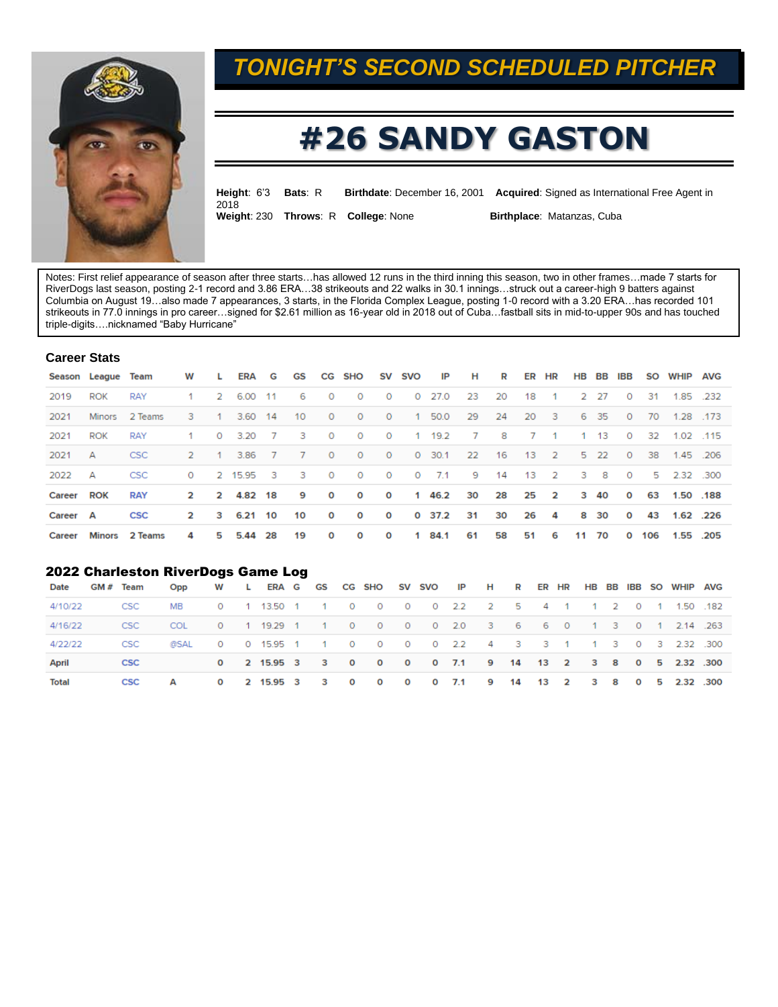

## *TONIGHT'S SECOND SCHEDULED PITCHER*

# **#26 SANDY GASTON**

| Height: 6'3 Bats: R |                                     | <b>Birthdate:</b> December 16, 2001 Acquired: Signed as International Free Agent in |
|---------------------|-------------------------------------|-------------------------------------------------------------------------------------|
| 2018                | Weight: 230 Throws: R College: None | <b>Birthplace: Matanzas, Cuba</b>                                                   |

Notes: First relief appearance of season after three starts…has allowed 12 runs in the third inning this season, two in other frames…made 7 starts for RiverDogs last season, posting 2-1 record and 3.86 ERA…38 strikeouts and 22 walks in 30.1 innings…struck out a career-high 9 batters against Columbia on August 19…also made 7 appearances, 3 starts, in the Florida Complex League, posting 1-0 record with a 3.20 ERA…has recorded 101 strikeouts in 77.0 innings in pro career…signed for \$2.61 million as 16-year old in 2018 out of Cuba…fastball sits in mid-to-upper 90s and has touched triple-digits….nicknamed "Baby Hurricane"

#### **Career Stats**

|          | Season League Team |                  | W            | <b>L</b> | ERA G     |                | <b>GS</b>      |              | CG SHO                  |                | SV SVO  | IP          | н     | R    |      | ER HR                   | HB BB        | IBB      | SO  | WHIP AVG    |           |
|----------|--------------------|------------------|--------------|----------|-----------|----------------|----------------|--------------|-------------------------|----------------|---------|-------------|-------|------|------|-------------------------|--------------|----------|-----|-------------|-----------|
| 2019     | <b>ROK</b>         | <b>RAY</b>       |              |          | 2 6.00 11 |                | 6              | $\circ$      | $\circ$                 | $\circ$        |         | $0$ 27.0    | -23   | 20   | 18   | $-1$                    | 2 27         | $\circ$  | -31 |             | 1.85 .232 |
| 2021     | Minors             | 2 Teams          | 3.           | $\sim$ 1 | 3.60 14   |                | 10             | $\circ$      | $\circ$                 | $\circ$        |         | 1 50.0      | -29   | 24   | -20  | - 3                     | 6 35         | $\circ$  | 70  | 1.28 173    |           |
| 2021     | <b>ROK</b>         | <b>RAY</b>       | 1.           | $\circ$  | 3.20      | $7^{\circ}$    | -3             | $\circ$      | $\circ$                 | $\circ$        |         | 1 19.2      | - 7   | 8    |      | 7 1                     | $1 \quad 13$ | $\circ$  | 32  |             | 1.02 115  |
| 2021     | А                  | CSC <sup>-</sup> | 2            | $-1$     | 3.86      | 7 <sup>7</sup> | $\overline{7}$ | $\circ$      | $\circ$                 | $\circ$        |         | 0, 30.1     | 22    | - 16 | 13   | $\sim$ 2                | 5 22         | $\circ$  | 38  | 1.45 .206   |           |
| 2022     | А                  | <b>CSC</b>       | $\circ$      |          | 2 15.95 3 |                | - 3            | $\circ$      | $\circ$                 | $\overline{O}$ | $\circ$ | 7.1         | - 9 - | 14   | - 13 | $\sim$ 2                | 3 8          | $\circ$  |     | 5 2.32 .300 |           |
| Career   | <b>ROK</b>         | <b>RAY</b>       | $\mathbf{2}$ |          | 2 4.82 18 |                | 9              | O            | $\overline{\mathbf{O}}$ | $\mathbf{o}$   |         | 1 46.2      | 30    | 28   | 25   | $\overline{\mathbf{2}}$ | 3 40         | $\Omega$ | 63  | 1.50 .188   |           |
| Career A |                    | <b>CSC</b>       | $\mathbf{2}$ |          | 3 6.21 10 |                | 10             | O            | $\bullet$               | $\mathbf{o}$   |         | $0$ 37.2 31 |       | 30   | 26   | $\overline{a}$          | 8 30         | $\Omega$ | 43  | 1.62 .226   |           |
| Career   |                    | Minors 2 Teams   | 4            | 5.       | 5.44 28   |                | 19             | $\mathbf{o}$ | $\circ$                 | O              |         | 1 84.1      | 61    | 58   | 51   | 6                       | 11 70        | $\Omega$ | 106 |             | 1.55 .205 |

#### 2022 Charleston RiverDogs Game Log

| Date         | GM # Team  | Opp                                                      |  | W L ERA G GS CG SHO SV SVO IP H R ER HR HB BB IBB SO WHIP AVG |  |  |  |  |  |  |  |  |                                                       |
|--------------|------------|----------------------------------------------------------|--|---------------------------------------------------------------|--|--|--|--|--|--|--|--|-------------------------------------------------------|
| 4/10/22      | <b>CSC</b> |                                                          |  |                                                               |  |  |  |  |  |  |  |  |                                                       |
| 4/16/22      | <b>CSC</b> | <b>COL</b>                                               |  | 0 1 19.29 1 1 0 0 0 0 2.0 3 6 6 0 1 3 0 1 2.14 .263           |  |  |  |  |  |  |  |  |                                                       |
| 4/22/22      | CSC        | @SAL 0 0 15.95 1 1 0 0 0 0 2.2 4 3 3 1 1 3 0 3 2.32 .300 |  |                                                               |  |  |  |  |  |  |  |  |                                                       |
| <b>April</b> | <b>CSC</b> |                                                          |  | 0 2 15.95 3 3 0 0 0 0 7.1 9 14 13 2 3 8 0 5 2.32 .300         |  |  |  |  |  |  |  |  |                                                       |
| <b>Total</b> |            |                                                          |  |                                                               |  |  |  |  |  |  |  |  | 0 2 15.95 3 3 0 0 0 0 7.1 9 14 13 2 3 8 0 5 2.32 .300 |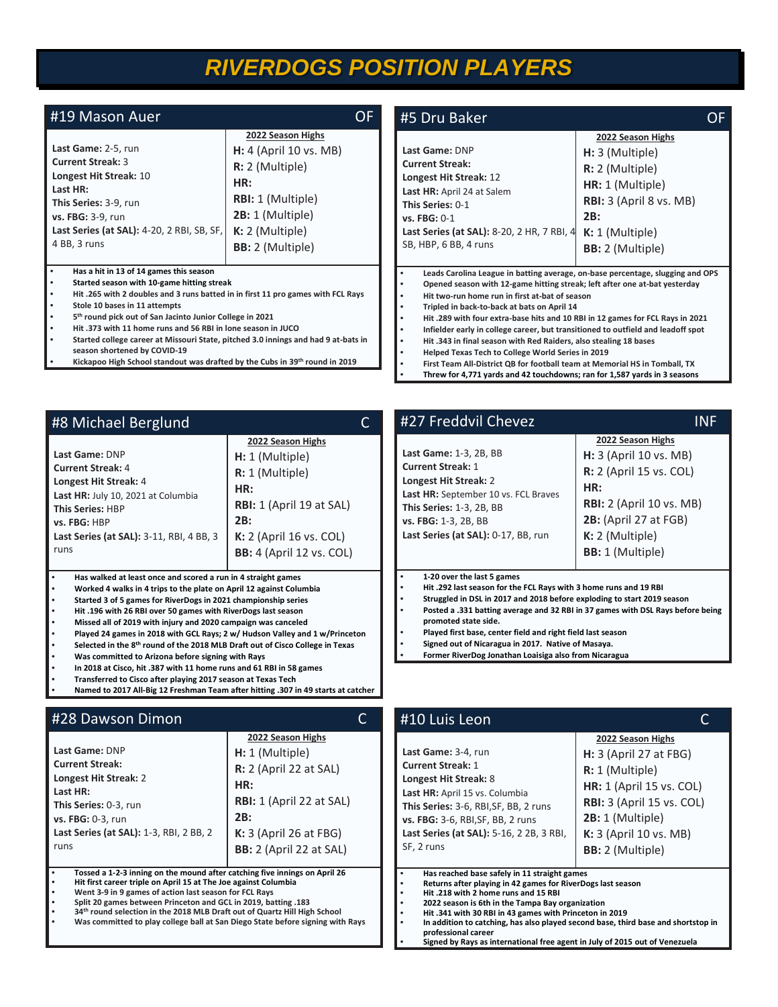## *RIVERDOGS POSITION PLAYERS*

| #19 Mason Auer                                                                                                                                                                                                                                                                                                                                                                                                                                                                                                                                                                                                                                     | <b>OF</b>                                                                                                                                                                 | #5 Dru Baker                                                                                                                                                                                                                                                                                                                                                                                                                                                                                                                                                                                                                                |                                                                                                                                                                   |  |  |  |  |  |  |  |
|----------------------------------------------------------------------------------------------------------------------------------------------------------------------------------------------------------------------------------------------------------------------------------------------------------------------------------------------------------------------------------------------------------------------------------------------------------------------------------------------------------------------------------------------------------------------------------------------------------------------------------------------------|---------------------------------------------------------------------------------------------------------------------------------------------------------------------------|---------------------------------------------------------------------------------------------------------------------------------------------------------------------------------------------------------------------------------------------------------------------------------------------------------------------------------------------------------------------------------------------------------------------------------------------------------------------------------------------------------------------------------------------------------------------------------------------------------------------------------------------|-------------------------------------------------------------------------------------------------------------------------------------------------------------------|--|--|--|--|--|--|--|
| Last Game: 2-5, run<br><b>Current Streak: 3</b><br>Longest Hit Streak: 10<br>Last HR:<br>This Series: 3-9, run<br>vs. FBG: 3-9, run<br>Last Series (at SAL): 4-20, 2 RBI, SB, SF,<br>4 BB, 3 runs                                                                                                                                                                                                                                                                                                                                                                                                                                                  | 2022 Season Highs<br>$H: 4$ (April 10 vs. MB)<br>$R: 2$ (Multiple)<br>HR:<br><b>RBI:</b> 1 (Multiple)<br>2B: 1 (Multiple)<br>$K: 2$ (Multiple)<br><b>BB:</b> 2 (Multiple) | Last Game: DNP<br><b>Current Streak:</b><br>Longest Hit Streak: 12<br>Last HR: April 24 at Salem<br>This Series: 0-1<br>vs. FBG: 0-1<br>Last Series (at SAL): 8-20, 2 HR, 7 RBI, 4<br>SB, HBP, 6 BB, 4 runs                                                                                                                                                                                                                                                                                                                                                                                                                                 | 2022 Season Highs<br>$H: 3$ (Multiple)<br>$R: 2$ (Multiple)<br>HR: 1 (Multiple)<br>RBI: 3 (April 8 vs. MB)<br>2B:<br>$K: 1$ (Multiple)<br><b>BB:</b> 2 (Multiple) |  |  |  |  |  |  |  |
| $\bullet$<br>Has a hit in 13 of 14 games this season<br>Started season with 10-game hitting streak<br>$\bullet$<br>Hit .265 with 2 doubles and 3 runs batted in in first 11 pro games with FCL Rays<br>$\bullet$<br>Stole 10 bases in 11 attempts<br>$\bullet$<br>5 <sup>th</sup> round pick out of San Jacinto Junior College in 2021<br>$\bullet$<br>Hit .373 with 11 home runs and 56 RBI in lone season in JUCO<br>$\bullet$<br>Started college career at Missouri State, pitched 3.0 innings and had 9 at-bats in<br>$\bullet$<br>season shortened by COVID-19<br>Kickapoo High School standout was drafted by the Cubs in 39th round in 2019 |                                                                                                                                                                           | Leads Carolina League in batting average, on-base percentage, slugging and OPS<br>Opened season with 12-game hitting streak; left after one at-bat yesterday<br>Hit two-run home run in first at-bat of season<br>Tripled in back-to-back at bats on April 14<br>Hit .289 with four extra-base hits and 10 RBI in 12 games for FCL Rays in 2021<br>Infielder early in college career, but transitioned to outfield and leadoff spot<br>Hit .343 in final season with Red Raiders, also stealing 18 bases<br>Helped Texas Tech to College World Series in 2019<br>First Team All-District QB for football team at Memorial HS in Tomball, TX |                                                                                                                                                                   |  |  |  |  |  |  |  |

| 2022 Season Highs<br>Last Game: DNP<br>H: 1 (Multiple)<br><b>Current Streak: 4</b><br>R: 1 (Multiple)<br>Longest Hit Streak: 4<br>HR:<br>Last HR: July 10, 2021 at Columbia<br><b>RBI:</b> 1 (April 19 at SAL)<br><b>This Series: HBP</b><br>2B:<br>vs. FBG: HBP<br>K: 2 (April 16 vs. COL)<br>Last Series (at SAL): 3-11, RBI, 4 BB, 3<br>runs | #8 Michael Berglund | C                               |
|-------------------------------------------------------------------------------------------------------------------------------------------------------------------------------------------------------------------------------------------------------------------------------------------------------------------------------------------------|---------------------|---------------------------------|
|                                                                                                                                                                                                                                                                                                                                                 |                     | <b>BB:</b> 4 (April 12 vs. COL) |

**• Worked 4 walks in 4 trips to the plate on April 12 against Columbia**

- **• Started 3 of 5 games for RiverDogs in 2021 championship series**
- **• Hit .196 with 26 RBI over 50 games with RiverDogs last season**
- **• Missed all of 2019 with injury and 2020 campaign was canceled**
- **• Played 24 games in 2018 with GCL Rays; 2 w/ Hudson Valley and 1 w/Princeton**
- **• Selected in the 8th round of the 2018 MLB Draft out of Cisco College in Texas**
- **• Was committed to Arizona before signing with Rays**
- **• In 2018 at Cisco, hit .387 with 11 home runs and 61 RBI in 58 games**
- **• Transferred to Cisco after playing 2017 season at Texas Tech**
- **• Named to 2017 All-Big 12 Freshman Team after hitting .307 in 49 starts at catcher**

#### #28 Dawson Dimon C **Last Game:** DNP **Current Streak: Longest Hit Streak:** 2 **Last HR: This Series:** 0-3, run **vs. FBG:** 0-3, run **Last Series (at SAL):** 1-3, RBI, 2 BB, 2 runs **2022 Season Highs H:** 1 (Multiple) **R:** 2 (April 22 at SAL) **HR: RBI:** 1 (April 22 at SAL) **2B: K:** 3 (April 26 at FBG) **BB:** 2 (April 22 at SAL) **• Tossed a 1-2-3 inning on the mound after catching five innings on April 26 • Hit first career triple on April 15 at The Joe against Columbia • Went 3-9 in 9 games of action last season for FCL Rays • Split 20 games between Princeton and GCL in 2019, batting .183** SF, 2 runs

- **• 34th round selection in the 2018 MLB Draft out of Quartz Hill High School**
- **• Was committed to play college ball at San Diego State before signing with Rays**

### #27 Freddvil Chevez INF

|                                                               | 2022 Season Highs               |
|---------------------------------------------------------------|---------------------------------|
| Last Game: 1-3, 2B, BB                                        | H: 3 (April 10 vs. MB)          |
| <b>Current Streak: 1</b>                                      | R: 2 (April 15 vs. COL)         |
| Longest Hit Streak: 2<br>Last HR: September 10 vs. FCL Braves | HR:                             |
| <b>This Series: 1-3, 2B, BB</b>                               | <b>RBI:</b> 2 (April 10 vs. MB) |
| vs. FBG: 1-3, 2B, BB                                          | 2B: (April 27 at FGB)           |
| Last Series (at SAL): 0-17, BB, run                           | $K: 2$ (Multiple)               |
|                                                               | <b>BB:</b> 1 (Multiple)         |
|                                                               |                                 |

**• Threw for 4,771 yards and 42 touchdowns; ran for 1,587 yards in 3 seasons**

#### **• 1-20 over the last 5 games**

- **• Hit .292 last season for the FCL Rays with 3 home runs and 19 RBI**
- **• Struggled in DSL in 2017 and 2018 before exploding to start 2019 season • Posted a .331 batting average and 32 RBI in 37 games with DSL Rays before being**
- **promoted state side. • Played first base, center field and right field last season**
- **• Signed out of Nicaragua in 2017. Native of Masaya.**
- **• Former RiverDog Jonathan Loaisiga also from Nicaragua**

| #10 Luis Leon                                                                                                                                                                                                                                      |                                                                                                                                                                                                                       |  |  |  |  |  |  |
|----------------------------------------------------------------------------------------------------------------------------------------------------------------------------------------------------------------------------------------------------|-----------------------------------------------------------------------------------------------------------------------------------------------------------------------------------------------------------------------|--|--|--|--|--|--|
| Last Game: 3-4, run<br><b>Current Streak: 1</b><br>Longest Hit Streak: 8<br>Last HR: April 15 vs. Columbia<br>This Series: 3-6, RBI, SF, BB, 2 runs<br>vs. FBG: 3-6, RBI, SF, BB, 2 runs<br>Last Series (at SAL): 5-16, 2 2B, 3 RBI,<br>SF, 2 runs | 2022 Season Highs<br><b>H:</b> 3 (April 27 at FBG)<br>R: 1 (Multiple)<br><b>HR:</b> 1 (April 15 vs. COL)<br>RBI: 3 (April 15 vs. COL)<br>2B: 1 (Multiple)<br><b>K:</b> 3 (April 10 vs. MB)<br><b>BB:</b> 2 (Multiple) |  |  |  |  |  |  |
| Has reached base safely in 11 straight games<br>Returns after playing in 42 games for RiverDogs last season<br>Hit .218 with 2 home runs and 15 RBI<br>2022 season is 6th in the Tampa Bay organization                                            |                                                                                                                                                                                                                       |  |  |  |  |  |  |

- **• 2022 season is 6th in the Tampa Bay organization • Hit .341 with 30 RBI in 43 games with Princeton in 2019**
	-
- **• In addition to catching, has also played second base, third base and shortstop in professional career**
	- **• Signed by Rays as international free agent in July of 2015 out of Venezuela**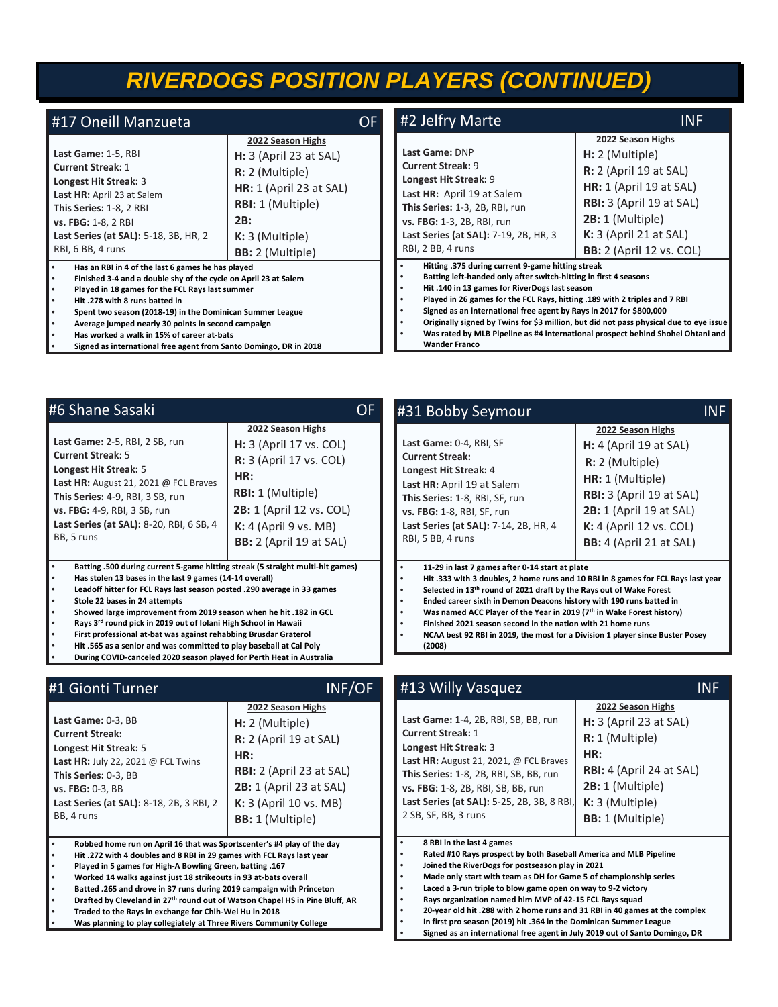## *RIVERDOGS POSITION PLAYERS (CONTINUED)*

| #17 Oneill Manzueta                                                                                                                                                                                                                                                                                                                                                        |                                                                                                                                                                                         | <b>OF</b> | #2 Jelfry Marte                                                                                                                                                                                                                                                                                                             | <b>INF</b>                                                                                                                                                                                                        |
|----------------------------------------------------------------------------------------------------------------------------------------------------------------------------------------------------------------------------------------------------------------------------------------------------------------------------------------------------------------------------|-----------------------------------------------------------------------------------------------------------------------------------------------------------------------------------------|-----------|-----------------------------------------------------------------------------------------------------------------------------------------------------------------------------------------------------------------------------------------------------------------------------------------------------------------------------|-------------------------------------------------------------------------------------------------------------------------------------------------------------------------------------------------------------------|
| Last Game: 1-5, RBI<br><b>Current Streak: 1</b><br>Longest Hit Streak: 3<br>Last HR: April 23 at Salem<br>This Series: 1-8, 2 RBI<br>vs. FBG: 1-8, 2 RBI<br>Last Series (at SAL): 5-18, 3B, HR, 2<br>RBI, 6 BB, 4 runs                                                                                                                                                     | 2022 Season Highs<br>$H: 3$ (April 23 at SAL)<br>$R: 2$ (Multiple)<br><b>HR:</b> 1 (April 23 at SAL)<br><b>RBI:</b> 1 (Multiple)<br>2B:<br>$K: 3$ (Multiple)<br><b>BB:</b> 2 (Multiple) |           | Last Game: DNP<br><b>Current Streak: 9</b><br>Longest Hit Streak: 9<br>Last HR: April 19 at Salem<br>This Series: 1-3, 2B, RBI, run<br>vs. FBG: 1-3, 2B, RBI, run<br>Last Series (at SAL): 7-19, 2B, HR, 3<br>RBI, 2 BB, 4 runs                                                                                             | 2022 Season Highs<br>H: 2 (Multiple)<br><b>R:</b> 2 (April 19 at SAL)<br>$HR: 1$ (April 19 at SAL)<br>RBI: 3 (April 19 at SAL)<br>2B: 1 (Multiple)<br>$K: 3$ (April 21 at SAL)<br><b>BB:</b> 2 (April 12 vs. COL) |
| Has an RBI in 4 of the last 6 games he has played<br>Finished 3-4 and a double shy of the cycle on April 23 at Salem<br>Played in 18 games for the FCL Rays last summer<br>Hit .278 with 8 runs batted in<br>Spent two season (2018-19) in the Dominican Summer League<br>Average jumped nearly 30 points in second campaign<br>Has worked a walk in 15% of career at-bats |                                                                                                                                                                                         |           | Hitting .375 during current 9-game hitting streak<br>Batting left-handed only after switch-hitting in first 4 seasons<br>Hit.140 in 13 games for RiverDogs last season<br>Played in 26 games for the FCL Rays, hitting .189 with 2 triples and 7 RBI<br>Signed as an international free agent by Rays in 2017 for \$800,000 | Originally signed by Twins for \$3 million, but did not pass physical due to eye issue<br>Was rated by MLB Pipeline as #4 international prospect behind Shohei Ohtani and                                         |

**• Has worked a walk in 15% of career at-bats**

#6 Shane Sasaki

**Current Streak:** 5 **Longest Hit Streak:** 5

BB, 5 runs

**Last Game:** 2-5, RBI, 2 SB, run

**Last HR:** August 21, 2021 @ FCL Braves **This Series:** 4-9, RBI, 3 SB, run **vs. FBG:** 4-9, RBI, 3 SB, run

**Last Series (at SAL):** 8-20, RBI, 6 SB, 4

**• Signed as international free agent from Santo Domingo, DR in 2018**

| Shane Sasaki                                                                                                                                                                                                                                                                                                                                                                                                                                                      | OF                                                                                                                                                                                                                  | #31 Bobby Seymour                                                                                                                                                                                                                                                                                                                                                                                                      | INF                                                                                                                                                                                                                      |
|-------------------------------------------------------------------------------------------------------------------------------------------------------------------------------------------------------------------------------------------------------------------------------------------------------------------------------------------------------------------------------------------------------------------------------------------------------------------|---------------------------------------------------------------------------------------------------------------------------------------------------------------------------------------------------------------------|------------------------------------------------------------------------------------------------------------------------------------------------------------------------------------------------------------------------------------------------------------------------------------------------------------------------------------------------------------------------------------------------------------------------|--------------------------------------------------------------------------------------------------------------------------------------------------------------------------------------------------------------------------|
| Game: 2-5, RBI, 2 SB, run<br>ent Streak: 5<br>gest Hit Streak: 5<br><b>HR:</b> August 21, 2021 @ FCL Braves<br>Series: 4-9, RBI, 3 SB, run<br><b>BG:</b> 4-9, RBI, 3 SB, run<br>Series (at SAL): 8-20, RBI, 6 SB, 4<br>5 runs                                                                                                                                                                                                                                     | 2022 Season Highs<br>$H: 3$ (April 17 vs. COL)<br><b>R:</b> 3 (April 17 vs. COL)<br>HR:<br><b>RBI:</b> 1 (Multiple)<br><b>2B:</b> 1 (April 12 vs. COL)<br>$K: 4$ (April 9 vs. MB)<br><b>BB:</b> 2 (April 19 at SAL) | Last Game: 0-4, RBI, SF<br><b>Current Streak:</b><br>Longest Hit Streak: 4<br>Last HR: April 19 at Salem<br>This Series: 1-8, RBI, SF, run<br>vs. FBG: 1-8, RBI, SF, run<br>Last Series (at SAL): 7-14, 2B, HR, 4<br>RBI, 5 BB, 4 runs                                                                                                                                                                                 | 2022 Season Highs<br>$H: 4$ (April 19 at SAL)<br>$R: 2$ (Multiple)<br>HR: 1 (Multiple)<br>RBI: 3 (April 19 at SAL)<br><b>2B:</b> 1 (April 19 at SAL)<br><b>K:</b> 4 (April 12 vs. COL)<br><b>BB:</b> 4 (April 21 at SAL) |
| Batting .500 during current 5-game hitting streak (5 straight multi-hit games)<br>Has stolen 13 bases in the last 9 games (14-14 overall)<br>Leadoff hitter for FCL Rays last season posted .290 average in 33 games<br>Stole 22 bases in 24 attempts<br>Showed large improvement from 2019 season when he hit .182 in GCL<br>Rays 3rd round pick in 2019 out of Iolani High School in Hawaii<br>First professional at-bat was against rehabbing Brusdar Graterol |                                                                                                                                                                                                                     | 11-29 in last 7 games after 0-14 start at plate<br>Selected in 13th round of 2021 draft by the Rays out of Wake Forest<br>Ended career sixth in Demon Deacons history with 190 runs batted in<br>Was named ACC Player of the Year in 2019 (7th in Wake Forest history)<br>Finished 2021 season second in the nation with 21 home runs<br>NCAA best 92 RBI in 2019, the most for a Division 1 player since Buster Posey | Hit .333 with 3 doubles, 2 home runs and 10 RBI in 8 games for FCL Rays last year                                                                                                                                        |

**Last Game:** 1-4, 2B, RBI, SB, BB, run

**Wander Franco**

- **First professional at-bat was against rehability • Hit .565 as a senior and was committed to play baseball at Cal Poly**
- **• During COVID-canceled 2020 season played for Perth Heat in Australia**

### #1 Gionti Turner INF/OF

|                                                             | 2022 Season Highs               |
|-------------------------------------------------------------|---------------------------------|
| Last Game: 0-3, BB                                          | H: 2 (Multiple)                 |
| <b>Current Streak:</b>                                      | R: 2 (April 19 at SAL)          |
| Longest Hit Streak: 5<br>Last HR: July 22, 2021 @ FCL Twins | HR:                             |
| This Series: 0-3, BB                                        | <b>RBI:</b> 2 (April 23 at SAL) |
| vs. FBG: 0-3, BB                                            | 2B: 1 (April 23 at SAL)         |
| Last Series (at SAL): 8-18, 2B, 3 RBI, 2                    | K: 3 (April 10 vs. MB)          |
| BB, 4 runs                                                  | <b>BB:</b> 1 (Multiple)         |
|                                                             |                                 |

**• Robbed home run on April 16 that was Sportscenter's #4 play of the day**

- **• Hit .272 with 4 doubles and 8 RBI in 29 games with FCL Rays last year**
- **• Played in 5 games for High-A Bowling Green, batting .167**
- **• Worked 14 walks against just 18 strikeouts in 93 at-bats overall**
- **• Batted .265 and drove in 37 runs during 2019 campaign with Princeton • Drafted by Cleveland in 27th round out of Watson Chapel HS in Pine Bluff, AR**
- 
- **• Traded to the Rays in exchange for Chih-Wei Hu in 2018**
- **• Was planning to play collegiately at Three Rivers Community College**
- **• In first pro season (2019) hit .364 in the Dominican Summer League • Signed as an international free agent in July 2019 out of Santo Domingo, DR**

**Current Streak:** 1 **Longest Hit Streak:** 3 **R:** 1 (Multiple) **HR:** 

#13 Willy Vasquez INF

- **Last HR:** August 21, 2021, @ FCL Braves **This Series:** 1-8, 2B, RBI, SB, BB, run **vs. FBG:** 1-8, 2B, RBI, SB, BB, run **Last Series (at SAL):** 5-25, 2B, 3B, 8 RBI, **RBI:** 4 (April 24 at SAL) **2B:** 1 (Multiple) **K:** 3 (Multiple)
	- **BB:** 1 (Multiple)

**2022 Season Highs H:** 3 (April 23 at SAL)

**• 8 RBI in the last 4 games**

2 SB, SF, BB, 3 runs

**(2008)**

- **• Rated #10 Rays prospect by both Baseball America and MLB Pipeline**
- **• Joined the RiverDogs for postseason play in 2021 • Made only start with team as DH for Game 5 of championship series**
- **• Laced a 3-run triple to blow game open on way to 9-2 victory**
- **• Rays organization named him MVP of 42-15 FCL Rays squad**
- **• 20-year old hit .288 with 2 home runs and 31 RBI in 40 games at the complex**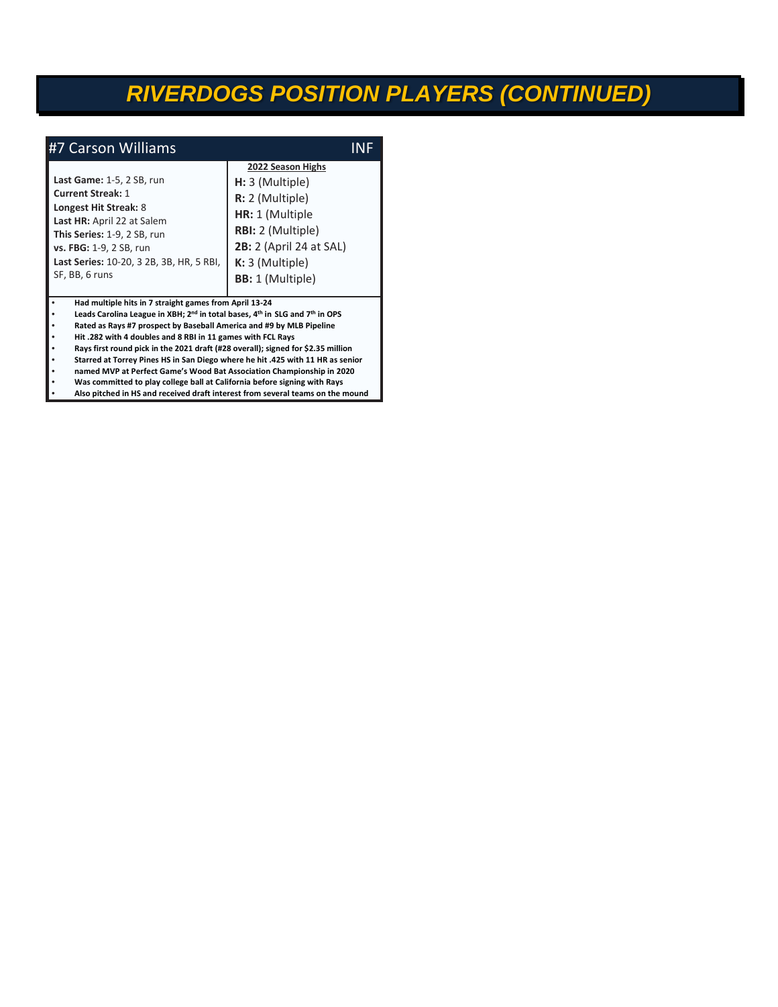## *RIVERDOGS POSITION PLAYERS (CONTINUED)*

| #7 Carson Williams                                                                                                                                                                                                                   |                                                                                                                                                                                   |  |
|--------------------------------------------------------------------------------------------------------------------------------------------------------------------------------------------------------------------------------------|-----------------------------------------------------------------------------------------------------------------------------------------------------------------------------------|--|
| Last Game: 1-5, 2 SB, run<br><b>Current Streak: 1</b><br>Longest Hit Streak: 8<br>Last HR: April 22 at Salem<br>This Series: 1-9, 2 SB, run<br>vs. FBG: 1-9, 2 SB, run<br>Last Series: 10-20, 3 2B, 3B, HR, 5 RBI,<br>SF, BB, 6 runs | 2022 Season Highs<br>H: 3 (Multiple)<br>R: 2 (Multiple)<br>HR: 1 (Multiple<br>RBI: 2 (Multiple)<br><b>2B:</b> 2 (April 24 at SAL)<br>$K: 3$ (Multiple)<br><b>BB:</b> 1 (Multiple) |  |
| Had multiple hits in 7 straight games from April 13-24<br>Leads Carolina League in XBH; 2 <sup>nd</sup> in total bases, 4 <sup>th</sup> in SLG and 7 <sup>th</sup> in OPS                                                            |                                                                                                                                                                                   |  |

**• Leads Carolina League in XBH; 2 • Rated as Rays #7 prospect by Baseball America and #9 by MLB Pipeline**

**• Hit .282 with 4 doubles and 8 RBI in 11 games with FCL Rays**

**• Rays first round pick in the 2021 draft (#28 overall); signed for \$2.35 million**

**• Starred at Torrey Pines HS in San Diego where he hit .425 with 11 HR as senior**

**• named MVP at Perfect Game's Wood Bat Association Championship in 2020**

**• Was committed to play college ball at California before signing with Rays**

**• Also pitched in HS and received draft interest from several teams on the mound**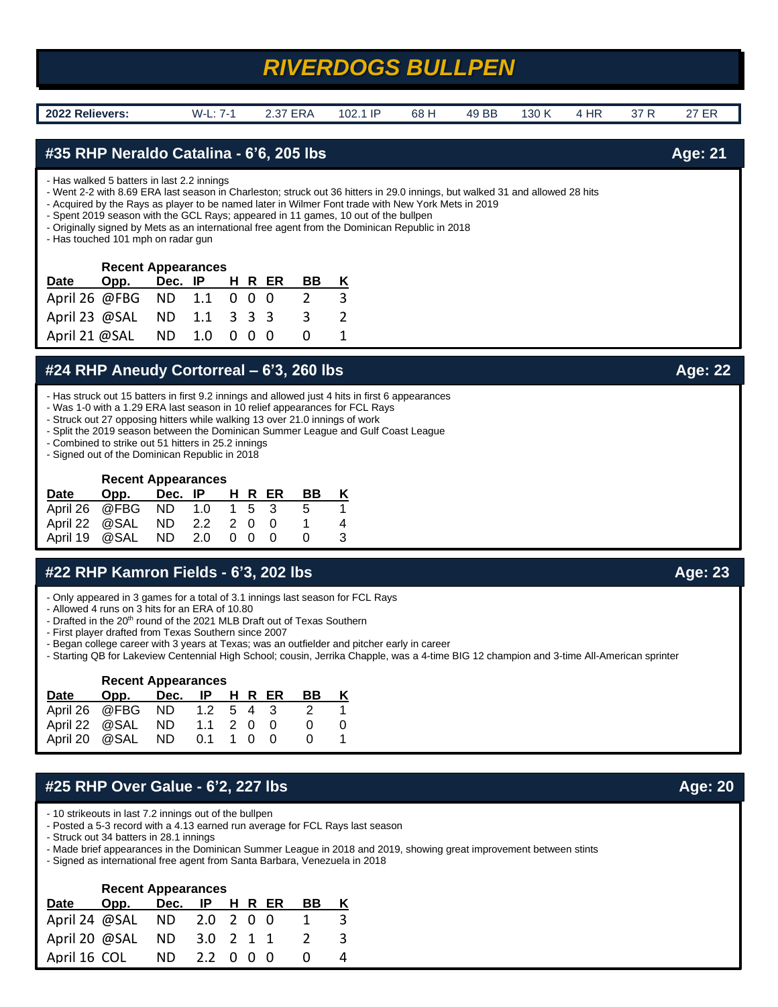## *RIVERDOGS BULLPEN*

**2022 Relievers:** W-L: 7-1 2.37 ERA 102.1 IP 68 H 49 BB 130 K 4 HR 37 R 27 ER

### **#35 RHP Neraldo Catalina - 6'6, 205 lbs Age: 21**

- Has walked 5 batters in last 2.2 innings

- Went 2-2 with 8.69 ERA last season in Charleston; struck out 36 hitters in 29.0 innings, but walked 31 and allowed 28 hits

- Acquired by the Rays as player to be named later in Wilmer Font trade with New York Mets in 2019
- Spent 2019 season with the GCL Rays; appeared in 11 games, 10 out of the bullpen
- Originally signed by Mets as an international free agent from the Dominican Republic in 2018

- Has touched 101 mph on radar gun

| <b>Recent Appearances</b> |                            |  |  |  |  |  |    |   |
|---------------------------|----------------------------|--|--|--|--|--|----|---|
| Date                      | Opp. Dec. IP H R ER        |  |  |  |  |  | BВ | Κ |
|                           | April 26 @FBG ND 1.1 0 0 0 |  |  |  |  |  |    | 3 |
|                           | April 23 @SAL ND 1.1 3 3 3 |  |  |  |  |  | -3 |   |
|                           | April 21 @SAL ND 1.0 0 0 0 |  |  |  |  |  |    |   |

### **#24 RHP Aneudy Cortorreal – 6'3, 260 lbs Age: 22**

- Has struck out 15 batters in first 9.2 innings and allowed just 4 hits in first 6 appearances

- Was 1-0 with a 1.29 ERA last season in 10 relief appearances for FCL Rays
- Struck out 27 opposing hitters while walking 13 over 21.0 innings of work
- Split the 2019 season between the Dominican Summer League and Gulf Coast League
- Combined to strike out 51 hitters in 25.2 innings
- Signed out of the Dominican Republic in 2018

### **Recent Appearances**

| Date                          | Opp. Dec. IP                |  |  | HR ER | - BB | K |
|-------------------------------|-----------------------------|--|--|-------|------|---|
| April 26 @ FBG ND 1.0 1 5 3 5 |                             |  |  |       |      |   |
| April 22 @ SAL ND 2.2 2 0 0   |                             |  |  |       |      |   |
|                               | April 19 @ SAL ND 2.0 0 0 0 |  |  |       |      | 3 |

### **#22 RHP Kamron Fields - 6'3, 202 lbs Age: 23**

- Only appeared in 3 games for a total of 3.1 innings last season for FCL Rays
- Allowed 4 runs on 3 hits for an ERA of 10.80
- Drafted in the 20<sup>th</sup> round of the 2021 MLB Draft out of Texas Southern
- First player drafted from Texas Southern since 2007
- Began college career with 3 years at Texas; was an outfielder and pitcher early in career
- Starting QB for Lakeview Centennial High School; cousin, Jerrika Chapple, was a 4-time BIG 12 champion and 3-time All-American sprinter

| <b>Recent Appearances</b> |                   |                |                       |     |  |  |    |   |
|---------------------------|-------------------|----------------|-----------------------|-----|--|--|----|---|
| Date                      | Opp.              | Dec. IP H R ER |                       |     |  |  | BВ | κ |
|                           | April 26 @FBG ND  |                | 1.2                   | 543 |  |  |    |   |
| April 22 @SAL             |                   | ND.            | $1.1 \t2 \t0 \t0$     |     |  |  |    |   |
|                           | April 20 @ SAL ND |                | $0.1 \quad 1 \quad 0$ |     |  |  |    |   |

### **#25 RHP Over Galue - 6'2, 227 lbs Age: 20** Age: 20

- 10 strikeouts in last 7.2 innings out of the bullpen
- Posted a 5-3 record with a 4.13 earned run average for FCL Rays last season

- Struck out 34 batters in 28.1 innings

- Made brief appearances in the Dominican Summer League in 2018 and 2019, showing great improvement between stints
- Signed as international free agent from Santa Barbara, Venezuela in 2018

| <b>Recent Appearances</b>  |                            |     |           |  |  |  |    |    |
|----------------------------|----------------------------|-----|-----------|--|--|--|----|----|
| <b>Date</b>                | Opp. Dec. IP H R ER        |     |           |  |  |  | BВ | Κ  |
|                            | April 24 @SAL ND 2.0 2 0 0 |     |           |  |  |  |    |    |
| April 20 @SAL ND 3.0 2 1 1 |                            |     |           |  |  |  |    | 3. |
| April 16 COL               |                            | ND. | 2.2 0 0 0 |  |  |  |    |    |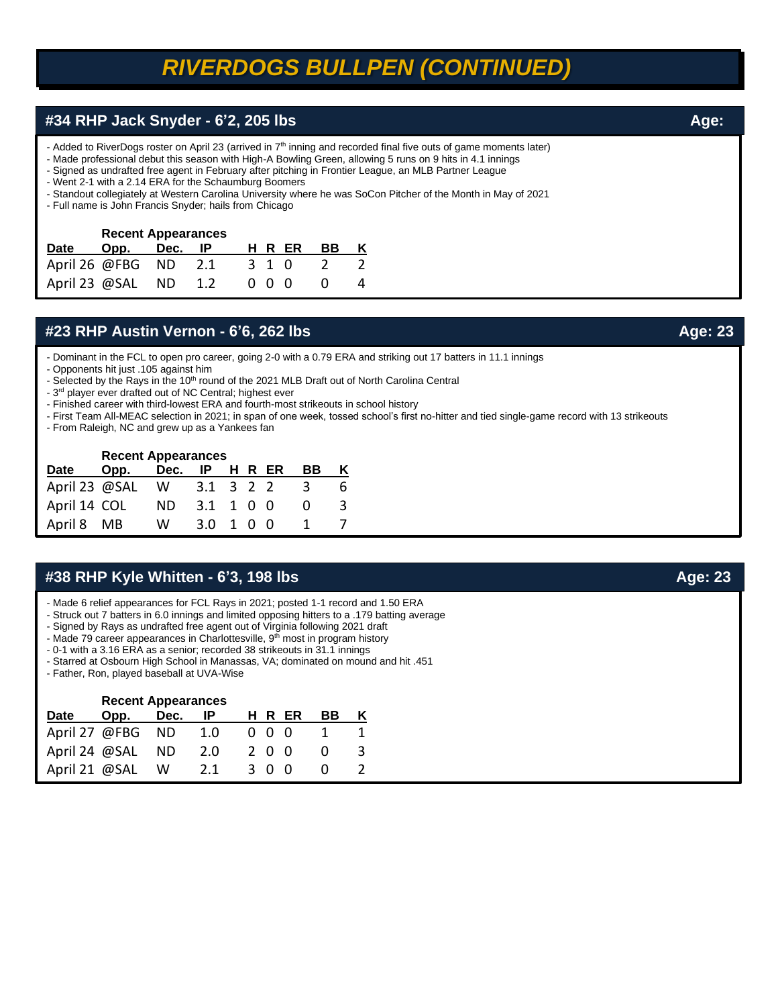## *RIVERDOGS BULLPEN (CONTINUED)*

### **#34 RHP Jack Snyder - 6'2, 205 lbs Age: <b>Age:**  Age: **Age:**  Age: **Age: Age: Age: Age: Age: Age: Age: Age: Age: Age: Age: Age: Age: Age: Age: Age: Age: Age: Age: Age: Age: Age:**

- Added to RiverDogs roster on April 23 (arrived in 7<sup>th</sup> inning and recorded final five outs of game moments later)
- Made professional debut this season with High-A Bowling Green, allowing 5 runs on 9 hits in 4.1 innings
- Signed as undrafted free agent in February after pitching in Frontier League, an MLB Partner League
- Went 2-1 with a 2.14 ERA for the Schaumburg Boomers
- Standout collegiately at Western Carolina University where he was SoCon Pitcher of the Month in May of 2021
- Full name is John Francis Snyder; hails from Chicago

#### **Recent Appearances**

| Date Opp. Dec. IP      |  | HRER BBK                 |        |  |
|------------------------|--|--------------------------|--------|--|
| April 26 $@FBG$ ND 2.1 |  | 3 1 0 2                  |        |  |
|                        |  | April 23 @SAL ND 1.2 000 | $\cup$ |  |

### **#23 RHP Austin Vernon - 6'6, 262 lbs Age: 23**

- Dominant in the FCL to open pro career, going 2-0 with a 0.79 ERA and striking out 17 batters in 11.1 innings

- Opponents hit just .105 against him
- Selected by the Rays in the 10<sup>th</sup> round of the 2021 MLB Draft out of North Carolina Central
- 3<sup>rd</sup> player ever drafted out of NC Central; highest ever
- Finished career with third-lowest ERA and fourth-most strikeouts in school history
- First Team All-MEAC selection in 2021; in span of one week, tossed school's first no-hitter and tied single-game record with 13 strikeouts
- From Raleigh, NC and grew up as a Yankees fan

#### **Recent Appearances**

| Date            | Opp. | Dec. | <b>IP</b> |  | HR ER | BB.          |  |
|-----------------|------|------|-----------|--|-------|--------------|--|
| April 23 @SAL W |      |      | 3.1 3 2 2 |  |       | $-3$         |  |
| April 14 COL    |      | ND.  | 3.1 1 0 0 |  |       | $\mathbf{U}$ |  |
| April 8 MB      |      | W.   | 3.0 1 0 0 |  |       |              |  |

### **#38 RHP Kyle Whitten - 6'3, 198 lbs Age: 23**

- Made 6 relief appearances for FCL Rays in 2021; posted 1-1 record and 1.50 ERA
- Struck out 7 batters in 6.0 innings and limited opposing hitters to a .179 batting average
- Signed by Rays as undrafted free agent out of Virginia following 2021 draft
- Made 79 career appearances in Charlottesville, 9<sup>th</sup> most in program history
- 0-1 with a 3.16 ERA as a senior; recorded 38 strikeouts in 31.1 innings
- Starred at Osbourn High School in Manassas, VA; dominated on mound and hit .451
- Father, Ron, played baseball at UVA-Wise

|               | <b>Recent Appearances</b> |      |     |     |       |    |  |
|---------------|---------------------------|------|-----|-----|-------|----|--|
| Date          | Opp.                      | Dec. |     |     | HR ER | BВ |  |
|               | April 27 @FBG ND 1.0      |      |     | 000 |       |    |  |
|               | April 24 @SAL ND          |      | 2.0 | 200 |       |    |  |
| April 21 @SAL |                           | - W  | 2.1 | 300 |       |    |  |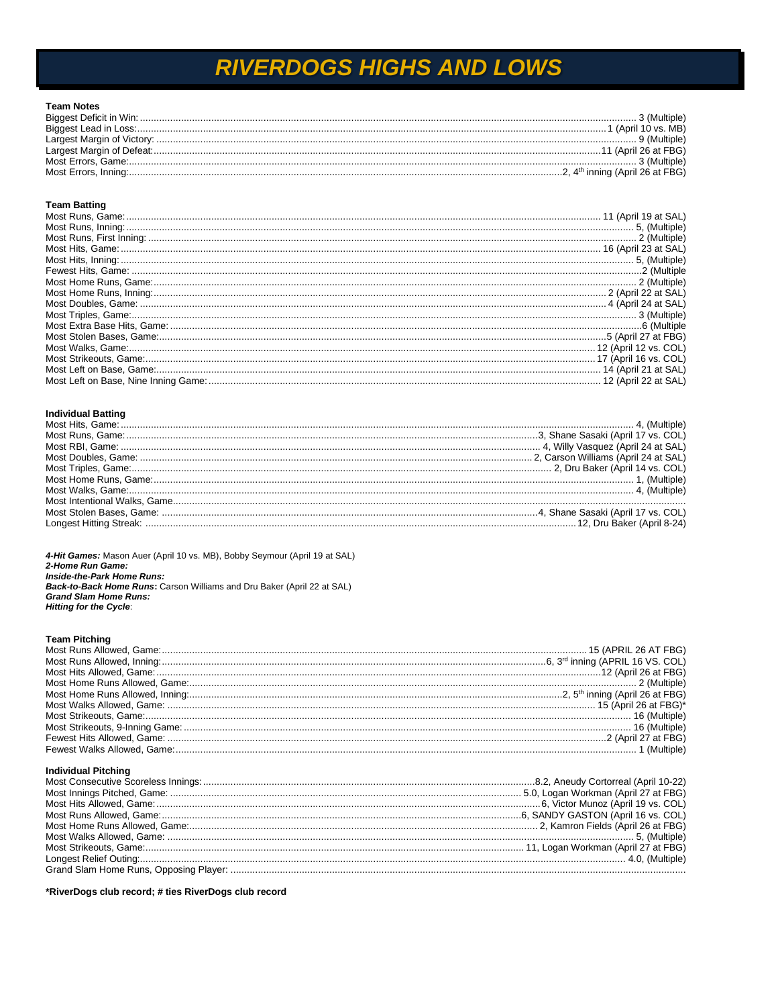## **RIVERDOGS HIGHS AND LOWS**

| <b>Team Notes</b> |  |
|-------------------|--|
|                   |  |
|                   |  |
|                   |  |
|                   |  |
|                   |  |
|                   |  |

#### **Team Batting**

| Most Home Runs, Game: 2008 (Multiple) Most Home Runs, Game: 2008 (April 22 at SAL) |  |
|------------------------------------------------------------------------------------|--|
|                                                                                    |  |
|                                                                                    |  |
|                                                                                    |  |
|                                                                                    |  |
|                                                                                    |  |
|                                                                                    |  |
|                                                                                    |  |
|                                                                                    |  |
|                                                                                    |  |

#### **Individual Batting**

4-Hit Games: Mason Auer (April 10 vs. MB), Bobby Seymour (April 19 at SAL) 2-Home Run Game: Inside-the-Park Home Runs: **Back-to-Back Home Runs:** Carson Williams and Dru Baker (April 22 at SAL) **Grand Slam Home Runs: Hitting for the Cycle:** 

#### **Team Pitching**

#### **Individual Pitching**

\*RiverDogs club record; # ties RiverDogs club record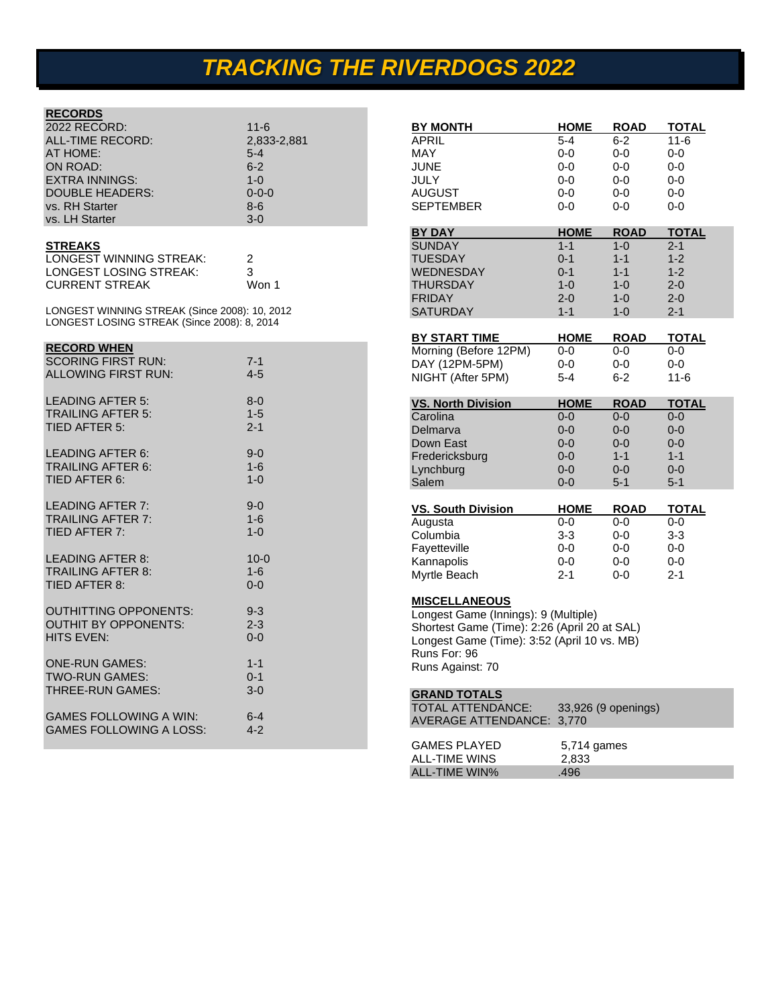# *TRACKING THE RIVERDOGS 2022*

### **RECORDS**

| 2022 RECORD:           | $11 - 6$     |
|------------------------|--------------|
| ALL-TIME RECORD:       | 2,833-2,881  |
| AT HOME:               | $5 - 4$      |
| ON ROAD:               | $6 - 2$      |
| <b>EXTRA INNINGS:</b>  | $1 - \Omega$ |
| <b>DOUBLE HEADERS:</b> | $0 - 0 - 0$  |
| vs. RH Starter         | $8 - 6$      |
| vs. LH Starter         | $3-0$        |

#### **STREAKS**

| LONGEST WINNING STREAK: |       |
|-------------------------|-------|
| LONGEST LOSING STREAK:  | 3     |
| <b>CURRENT STREAK</b>   | Won 1 |

LONGEST WINNING STREAK (Since 2008): 10, 2012 LONGEST LOSING STREAK (Since 2008): 8, 2014

#### **RECORD WHEN**

| <b>SCORING FIRST RUN:</b><br>ALLOWING FIRST RUN:                          | $7 - 1$<br>$4 - 5$             |
|---------------------------------------------------------------------------|--------------------------------|
| LEADING AFTER 5:<br><b>TRAILING AFTER 5:</b><br>TIED AFTER 5:             | $8 - 0$<br>$1 - 5$<br>$2 - 1$  |
| <b>LEADING AFTER 6:</b><br><b>TRAILING AFTER 6:</b><br>TIED AFTER 6:      | $9 - 0$<br>$1-6$<br>$1 - 0$    |
| LEADING AFTER 7:<br><b>TRAILING AFTER 7:</b><br>TIED AFTER 7:             | $9-0$<br>$1-6$<br>$1 - 0$      |
| LEADING AFTER 8:<br><b>TRAILING AFTER 8:</b><br>TIED AFTER 8:             | $10 - 0$<br>$1 - 6$<br>$0 - 0$ |
| <b>OUTHITTING OPPONENTS:</b><br><b>OUTHIT BY OPPONENTS:</b><br>HITS EVEN: | $9 - 3$<br>$2 - 3$<br>$0 - 0$  |
| <b>ONE-RUN GAMES:</b><br><b>TWO-RUN GAMES:</b><br><b>THREE-RUN GAMES:</b> | $1 - 1$<br>$0 - 1$<br>$3-0$    |
| <b>GAMES FOLLOWING A WIN:</b><br><b>GAMES FOLLOWING A LOSS:</b>           | $6 - 4$<br>$4 - 2$             |

| <b>BY MONTH</b>                              | <b>HOME</b>         | <b>ROAD</b> | TOTAL        |
|----------------------------------------------|---------------------|-------------|--------------|
| APRIL                                        | 5-4                 | 6-2         | 11-6         |
| MAY                                          | 0-0                 | 0-0         | 0-0          |
| JUNE                                         | 0-0                 | 0-0         | 0-0          |
| JULY                                         | $0-0$               | 0-0         | $0 - 0$      |
| AUGUST                                       | $0-0$               | 0-0         | 0-0          |
| SEPTEMBER                                    | 0-0                 | 0-0         | 0-0          |
|                                              |                     |             |              |
| <b>BY DAY</b>                                | <b>HOME</b>         | <b>ROAD</b> | <b>TOTAL</b> |
| <b>SUNDAY</b>                                | $1 - 1$             | $1 - 0$     | $2 - 1$      |
| TUESDAY                                      | $0 - 1$             | $1 - 1$     | $1 - 2$      |
| WEDNESDAY                                    | $0 - 1$             | $1 - 1$     | $1 - 2$      |
| THURSDAY                                     | $1 - 0$             | $1 - 0$     | 2-0          |
| <b>FRIDAY</b>                                | $2 - 0$             | $1 - 0$     | 2-0          |
| SATURDAY                                     | $1 - 1$             | $1 - 0$     | $2 - 1$      |
| BY START TIME                                | <b>HOME</b>         | ROAD        | <b>TOTAL</b> |
| Morning (Before 12PM)                        | 0-0                 | 0-0         | 0-0          |
| DAY (12PM-5PM)                               | 0-0                 | 0-0         | 0-0          |
| NIGHT (After 5PM)                            | $5 - 4$             | 6-2         | $11 - 6$     |
|                                              |                     |             |              |
| <b>VS. North Division</b>                    | <b>HOME</b>         | <b>ROAD</b> | <b>TOTAL</b> |
| Carolina                                     | $0 - 0$             | 0-0         | 0-0          |
| Delmarva                                     | 0-0                 | 0-0         | 0-0          |
| Down East                                    | 0-0                 | $0-0$       | 0-0          |
| Fredericksburg                               | $0 - 0$             | $1 - 1$     | $1 - 1$      |
| Lynchburg                                    | 0-0                 | 0-0         | 0-0          |
| Salem                                        | $0 - 0$             | $5 - 1$     | $5 - 1$      |
|                                              |                     |             |              |
| <b>VS. South Division</b>                    | <b>HOME</b>         | ROAD        | TOTAL        |
| Augusta                                      | 0-0                 | 0-0         | 0-0          |
| Columbia                                     | $3 - 3$             | 0-0         | 3-3          |
| Fayetteville                                 | $0 - 0$             | $0 - 0$     | $0 - 0$      |
| Kannapolis                                   | 0-0                 | 0-0         | $0-0$        |
| Myrtle Beach                                 | $2 - 1$             | 0-0         | $2 - 1$      |
| <u>MISCELLANEOUS</u>                         |                     |             |              |
| Longest Game (Innings): 9 (Multiple)         |                     |             |              |
| Shortest Game (Time): 2:26 (April 20 at SAL) |                     |             |              |
| Longest Game (Time): 3:52 (April 10 vs. MB)  |                     |             |              |
| Runs For: 96                                 |                     |             |              |
| Runs Against: 70                             |                     |             |              |
|                                              |                     |             |              |
| <b>GRAND TOTALS</b>                          |                     |             |              |
| TOTAL ATTENDANCE:                            | 33,926 (9 openings) |             |              |
| AVERAGE ATTENDANCE:                          | 3,770               |             |              |
| <b>GAMES PLAYED</b>                          | 5,714 games         |             |              |
| <b>ALL-TIME WINS</b>                         | 2.833               |             |              |

ALL-TIME WIN% 496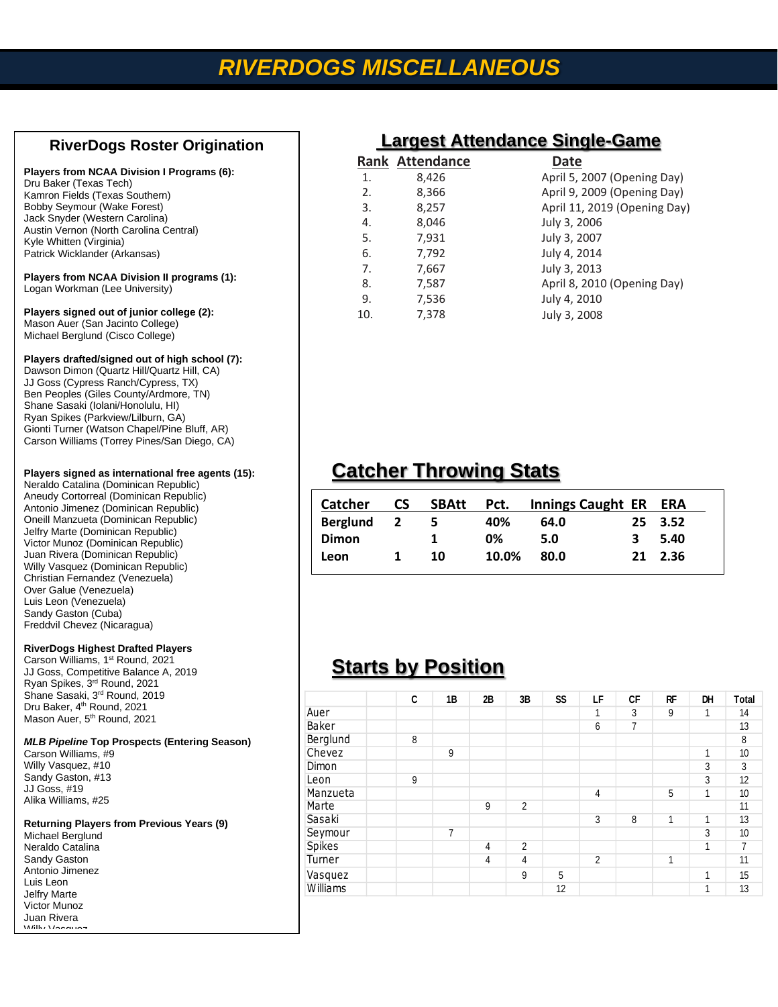## *RIVERDOGS MISCELLANEOUS*

### **RiverDogs Roster Origination**

#### **Players from NCAA Division I Programs (6):**

| Dru Baker (Texas Tech)                 |
|----------------------------------------|
| Kamron Fields (Texas Southern)         |
| <b>Bobby Seymour (Wake Forest)</b>     |
| Jack Snyder (Western Carolina)         |
| Austin Vernon (North Carolina Central) |
| Kyle Whitten (Virginia)                |
| Patrick Wicklander (Arkansas)          |
|                                        |

#### **Players from NCAA Division II programs (1):** Logan Workman (Lee University)

#### **Players signed out of junior college (2):**  Mason Auer (San Jacinto College) Michael Berglund (Cisco College)

#### **Players drafted/signed out of high school (7):**

Dawson Dimon (Quartz Hill/Quartz Hill, CA) JJ Goss (Cypress Ranch/Cypress, TX) Ben Peoples (Giles County/Ardmore, TN) Shane Sasaki (Iolani/Honolulu, HI) Ryan Spikes (Parkview/Lilburn, GA) Gionti Turner (Watson Chapel/Pine Bluff, AR) Carson Williams (Torrey Pines/San Diego, CA)

#### **Players signed as international free agents (15):**

Neraldo Catalina (Dominican Republic) Aneudy Cortorreal (Dominican Republic) Antonio Jimenez (Dominican Republic) Oneill Manzueta (Dominican Republic) Jelfry Marte (Dominican Republic) Victor Munoz (Dominican Republic) Juan Rivera (Dominican Republic) Willy Vasquez (Dominican Republic) Christian Fernandez (Venezuela) Over Galue (Venezuela) Luis Leon (Venezuela) Sandy Gaston (Cuba) Freddvil Chevez (Nicaragua)

#### **RiverDogs Highest Drafted Players**

Carson Williams, 1<sup>st</sup> Round, 2021 JJ Goss, Competitive Balance A, 2019 Ryan Spikes, 3<sup>rd</sup> Round, 2021 Shane Sasaki, 3<sup>rd</sup> Round, 2019 Dru Baker, 4<sup>th</sup> Round, 2021 Mason Auer, 5<sup>th</sup> Round, 2021

### *MLB Pipeline* **Top Prospects (Entering Season)**

Carson Williams, #9 Willy Vasquez, #10 Sandy Gaston, #13 JJ Goss, #19 Alika Williams, #25

### **Returning Players from Previous Years (9)**

Michael Berglund Neraldo Catalina Sandy Gaston Antonio Jimenez Luis Leon Jelfry Marte Victor Munoz Juan Rivera Willy Vasquez

| Largest Attengance Single-Game |                        |                              |  |  |  |  |  |  |
|--------------------------------|------------------------|------------------------------|--|--|--|--|--|--|
|                                | <b>Rank Attendance</b> | Date                         |  |  |  |  |  |  |
| 1.                             | 8,426                  | April 5, 2007 (Opening Day)  |  |  |  |  |  |  |
| 2.                             | 8,366                  | April 9, 2009 (Opening Day)  |  |  |  |  |  |  |
| 3.                             | 8,257                  | April 11, 2019 (Opening Day) |  |  |  |  |  |  |
| 4.                             | 8,046                  | July 3, 2006                 |  |  |  |  |  |  |
| 5.                             | 7,931                  | July 3, 2007                 |  |  |  |  |  |  |
| 6.                             | 7,792                  | July 4, 2014                 |  |  |  |  |  |  |
| 7.                             | 7,667                  | July 3, 2013                 |  |  |  |  |  |  |
| 8.                             | 7,587                  | April 8, 2010 (Opening Day)  |  |  |  |  |  |  |
| 9.                             | 7,536                  | July 4, 2010                 |  |  |  |  |  |  |
| 10.                            | 7,378                  | July 3, 2008                 |  |  |  |  |  |  |
|                                |                        |                              |  |  |  |  |  |  |

## **Catcher Throwing Stats**

| <b>Catcher</b>  | CS.                     | <b>SBAtt</b> | Pct.  | Innings Caught ER ERA |   |         |
|-----------------|-------------------------|--------------|-------|-----------------------|---|---------|
| <b>Berglund</b> | $\overline{\mathbf{2}}$ | -5           | 40%   | 64.0                  |   | 25 3.52 |
| <b>Dimon</b>    |                         |              | 0%    | 5.0                   | 3 | 5.40    |
| Leon            |                         | 10           | 10.0% | 80.0                  |   | 21 2.36 |

## **Starts by Position**

|          | C | 1B | 2B | 3B             | SS | LF             | <b>CF</b> | RF | DH           | <b>Total</b>   |
|----------|---|----|----|----------------|----|----------------|-----------|----|--------------|----------------|
| Auer     |   |    |    |                |    | 1              | 3         | 9  | 1            | 14             |
| Baker    |   |    |    |                |    | 6              | 7         |    |              | 13             |
| Berglund | 8 |    |    |                |    |                |           |    |              | 8              |
| Chevez   |   | 9  |    |                |    |                |           |    | 1            | 10             |
| Dimon    |   |    |    |                |    |                |           |    | 3            | 3              |
| Leon     | 9 |    |    |                |    |                |           |    | 3            | 12             |
| Manzueta |   |    |    |                |    | 4              |           | 5  | $\mathbf{1}$ | 10             |
| Marte    |   |    | 9  | $\overline{2}$ |    |                |           |    |              | 11             |
| Sasaki   |   |    |    |                |    | 3              | 8         | 1  | 1            | 13             |
| Seymour  |   | 7  |    |                |    |                |           |    | 3            | 10             |
| Spikes   |   |    | 4  | $\overline{c}$ |    |                |           |    | $\mathbf{1}$ | $\overline{7}$ |
| Turner   |   |    | 4  | $\overline{4}$ |    | $\overline{c}$ |           | 1  |              | 11             |
| Vasquez  |   |    |    | 9              | 5  |                |           |    | 1            | 15             |
| Williams |   |    |    |                | 12 |                |           |    | 1            | 13             |

### **Largest Attendance Single-Game**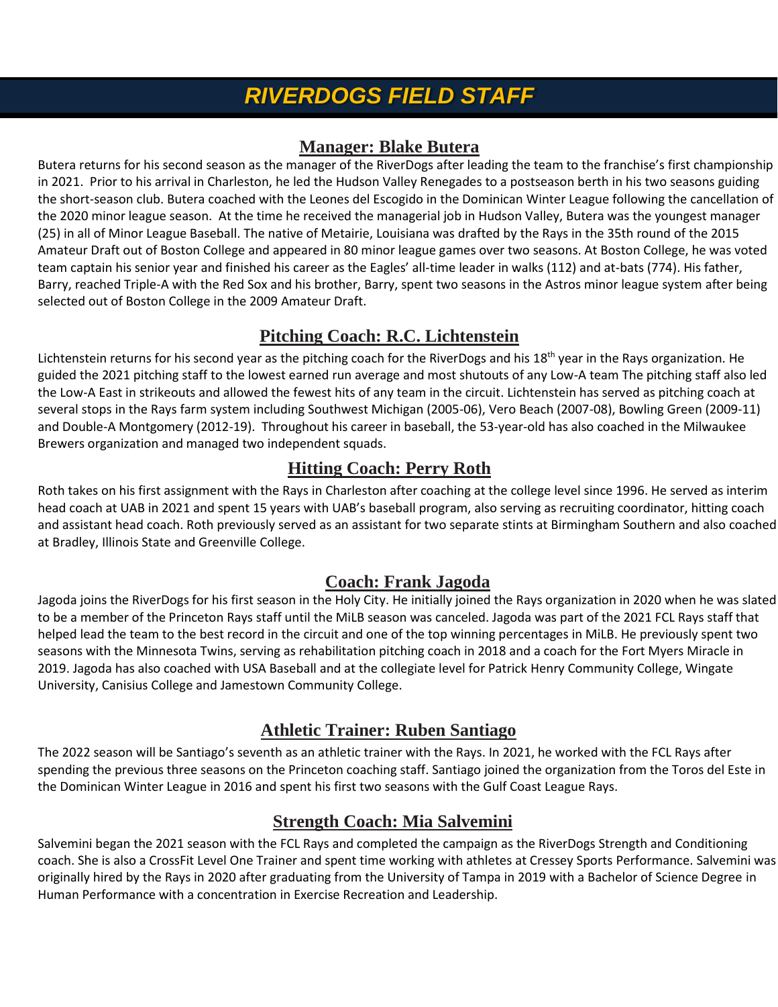## *RIVERDOGS FIELD STAFF*

### **Manager: Blake Butera**

Butera returns for his second season as the manager of the RiverDogs after leading the team to the franchise's first championship in 2021. Prior to his arrival in Charleston, he led the Hudson Valley Renegades to a postseason berth in his two seasons guiding the short-season club. Butera coached with the Leones del Escogido in the Dominican Winter League following the cancellation of the 2020 minor league season. At the time he received the managerial job in Hudson Valley, Butera was the youngest manager (25) in all of Minor League Baseball. The native of Metairie, Louisiana was drafted by the Rays in the 35th round of the 2015 Amateur Draft out of Boston College and appeared in 80 minor league games over two seasons. At Boston College, he was voted team captain his senior year and finished his career as the Eagles' all-time leader in walks (112) and at-bats (774). His father, Barry, reached Triple-A with the Red Sox and his brother, Barry, spent two seasons in the Astros minor league system after being selected out of Boston College in the 2009 Amateur Draft.

## **Pitching Coach: R.C. Lichtenstein**

Lichtenstein returns for his second year as the pitching coach for the RiverDogs and his 18<sup>th</sup> year in the Rays organization. He guided the 2021 pitching staff to the lowest earned run average and most shutouts of any Low-A team The pitching staff also led the Low-A East in strikeouts and allowed the fewest hits of any team in the circuit. Lichtenstein has served as pitching coach at several stops in the Rays farm system including Southwest Michigan (2005-06), Vero Beach (2007-08), Bowling Green (2009-11) and Double-A Montgomery (2012-19). Throughout his career in baseball, the 53-year-old has also coached in the Milwaukee Brewers organization and managed two independent squads.

## **Hitting Coach: Perry Roth**

Roth takes on his first assignment with the Rays in Charleston after coaching at the college level since 1996. He served as interim head coach at UAB in 2021 and spent 15 years with UAB's baseball program, also serving as recruiting coordinator, hitting coach and assistant head coach. Roth previously served as an assistant for two separate stints at Birmingham Southern and also coached at Bradley, Illinois State and Greenville College.

## **Coach: Frank Jagoda**

Jagoda joins the RiverDogs for his first season in the Holy City. He initially joined the Rays organization in 2020 when he was slated to be a member of the Princeton Rays staff until the MiLB season was canceled. Jagoda was part of the 2021 FCL Rays staff that helped lead the team to the best record in the circuit and one of the top winning percentages in MiLB. He previously spent two seasons with the Minnesota Twins, serving as rehabilitation pitching coach in 2018 and a coach for the Fort Myers Miracle in 2019. Jagoda has also coached with USA Baseball and at the collegiate level for Patrick Henry Community College, Wingate University, Canisius College and Jamestown Community College.

## **Athletic Trainer: Ruben Santiago**

The 2022 season will be Santiago's seventh as an athletic trainer with the Rays. In 2021, he worked with the FCL Rays after spending the previous three seasons on the Princeton coaching staff. Santiago joined the organization from the Toros del Este in the Dominican Winter League in 2016 and spent his first two seasons with the Gulf Coast League Rays.

## **Strength Coach: Mia Salvemini**

Salvemini began the 2021 season with the FCL Rays and completed the campaign as the RiverDogs Strength and Conditioning coach. She is also a CrossFit Level One Trainer and spent time working with athletes at Cressey Sports Performance. Salvemini was originally hired by the Rays in 2020 after graduating from the University of Tampa in 2019 with a Bachelor of Science Degree in Human Performance with a concentration in Exercise Recreation and Leadership.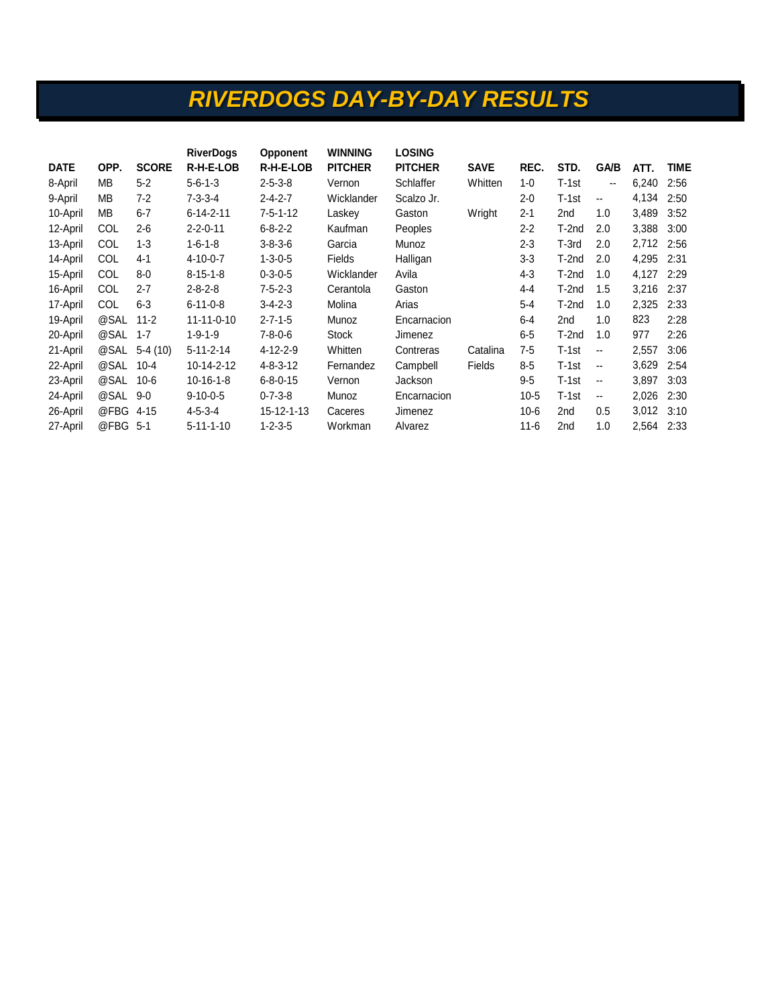## *RIVERDOGS DAY-BY-DAY RESULTS*

|             |            |              | <b>RiverDogs</b>  | <b>Opponent</b>  | <b>WINNING</b> | <b>LOSING</b>  |             |          |                 |                          |       |             |
|-------------|------------|--------------|-------------------|------------------|----------------|----------------|-------------|----------|-----------------|--------------------------|-------|-------------|
| <b>DATE</b> | OPP.       | <b>SCORE</b> | R-H-E-LOB         | R-H-E-LOB        | <b>PITCHER</b> | <b>PITCHER</b> | <b>SAVE</b> | REC.     | STD.            | <b>GA/B</b>              | ATT.  | <b>TIME</b> |
| 8-April     | MВ         | $5 - 2$      | $5 - 6 - 1 - 3$   | $2 - 5 - 3 - 8$  | Vernon         | Schlaffer      | Whitten     | $1 - 0$  | $T-1st$         | ۰.                       | 6,240 | 2:56        |
| 9-April     | MВ         | $7 - 2$      | $7 - 3 - 3 - 4$   | $2 - 4 - 2 - 7$  | Wicklander     | Scalzo Jr.     |             | $2 - 0$  | $T-1st$         | $\overline{\phantom{a}}$ | 4,134 | 2:50        |
| 10-April    | MВ         | $6 - 7$      | $6 - 14 - 2 - 11$ | $7 - 5 - 1 - 12$ | Laskey         | Gaston         | Wright      | $2 - 1$  | 2nd             | 1.0                      | 3,489 | 3:52        |
| 12-April    | <b>COL</b> | $2 - 6$      | $2 - 2 - 0 - 11$  | $6 - 8 - 2 - 2$  | Kaufman        | Peoples        |             | $2 - 2$  | T-2nd           | 2.0                      | 3,388 | 3:00        |
| 13-April    | <b>COL</b> | $1 - 3$      | $1 - 6 - 1 - 8$   | $3 - 8 - 3 - 6$  | Garcia         | Munoz          |             | $2 - 3$  | T-3rd           | 2.0                      | 2,712 | 2:56        |
| 14-April    | COL        | $4 - 1$      | $4 - 10 - 0 - 7$  | $1 - 3 - 0 - 5$  | Fields         | Halligan       |             | $3-3$    | T-2nd           | 2.0                      | 4,295 | 2:31        |
| 15-April    | COL        | $8-0$        | $8 - 15 - 1 - 8$  | $0 - 3 - 0 - 5$  | Wicklander     | Avila          |             | $4 - 3$  | T-2nd           | 1.0                      | 4,127 | 2:29        |
| 16-April    | <b>COL</b> | $2 - 7$      | $2 - 8 - 2 - 8$   | $7 - 5 - 2 - 3$  | Cerantola      | Gaston         |             | 4-4      | T-2nd           | 1.5                      | 3,216 | 2:37        |
| 17-April    | <b>COL</b> | $6 - 3$      | $6 - 11 - 0 - 8$  | $3 - 4 - 2 - 3$  | Molina         | Arias          |             | $5 - 4$  | T-2nd           | 1.0                      | 2,325 | 2:33        |
| 19-April    | @SAL       | $11 - 2$     | 11-11-0-10        | $2 - 7 - 1 - 5$  | Munoz          | Encarnacion    |             | $6 - 4$  | 2nd             | 1.0                      | 823   | 2:28        |
| 20-April    | @SAL       | $1 - 7$      | $1 - 9 - 1 - 9$   | $7 - 8 - 0 - 6$  | <b>Stock</b>   | Jimenez        |             | $6-5$    | T-2nd           | 1.0                      | 977   | 2:26        |
| 21-April    | @SAL       | $5-4(10)$    | $5 - 11 - 2 - 14$ | 4-12-2-9         | Whitten        | Contreras      | Catalina    | $7 - 5$  | T-1st           | $\overline{\phantom{a}}$ | 2,557 | 3:06        |
| 22-April    | @SAL       | $10 - 4$     | 10-14-2-12        | $4 - 8 - 3 - 12$ | Fernandez      | Campbell       | Fields      | $8-5$    | $T-1st$         | $\overline{\phantom{a}}$ | 3,629 | 2:54        |
| 23-April    | @SAL       | $10 - 6$     | $10 - 16 - 1 - 8$ | $6 - 8 - 0 - 15$ | Vernon         | Jackson        |             | $9 - 5$  | $T-1st$         | $\overline{\phantom{a}}$ | 3,897 | 3:03        |
| 24-April    | @SAL       | $9 - 0$      | $9-10-0-5$        | $0 - 7 - 3 - 8$  | Munoz          | Encarnacion    |             | $10-5$   | $T-1st$         | --                       | 2,026 | 2:30        |
| 26-April    | @FBG       | $4 - 15$     | $4 - 5 - 3 - 4$   | 15-12-1-13       | Caceres        | Jimenez        |             | $10 - 6$ | 2nd             | 0.5                      | 3,012 | 3:10        |
| 27-April    | @FBG       | $5-1$        | 5-11-1-10         | $1 - 2 - 3 - 5$  | Workman        | Alvarez        |             | $11 - 6$ | 2 <sub>nd</sub> | 1.0                      | 2,564 | 2:33        |